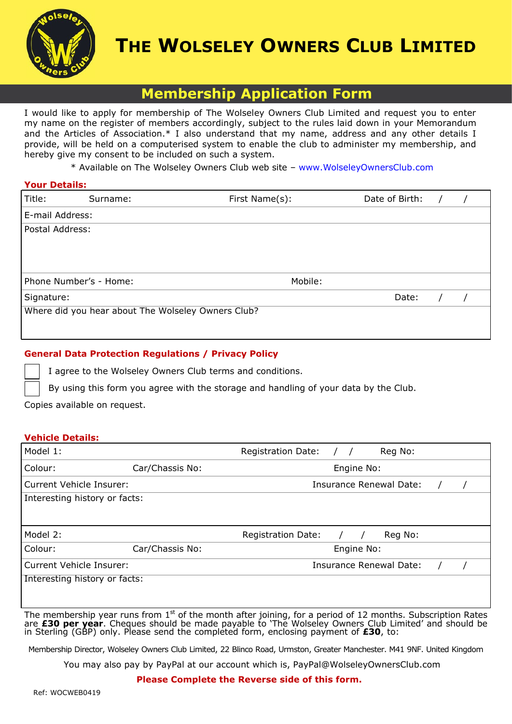

# **THE WOLSELEY OWNERS CLUB LIMITED**

# **Membership Application Form**

I would like to apply for membership of The Wolseley Owners Club Limited and request you to enter my name on the register of members accordingly, subject to the rules laid down in your Memorandum and the Articles of Association.\* I also understand that my name, address and any other details I provide, will be held on a computerised system to enable the club to administer my membership, and hereby give my consent to be included on such a system.

\* Available on The Wolseley Owners Club web site – www.WolseleyOwnersClub.com

| <b>Your Details:</b> |                                                    |                |                |  |  |  |  |  |
|----------------------|----------------------------------------------------|----------------|----------------|--|--|--|--|--|
| Title:               | Surname:                                           | First Name(s): | Date of Birth: |  |  |  |  |  |
| E-mail Address:      |                                                    |                |                |  |  |  |  |  |
| Postal Address:      |                                                    |                |                |  |  |  |  |  |
|                      |                                                    |                |                |  |  |  |  |  |
|                      |                                                    |                |                |  |  |  |  |  |
|                      | Phone Number's - Home:                             | Mobile:        |                |  |  |  |  |  |
| Signature:           |                                                    |                | Date:          |  |  |  |  |  |
|                      | Where did you hear about The Wolseley Owners Club? |                |                |  |  |  |  |  |
|                      |                                                    |                |                |  |  |  |  |  |
|                      |                                                    |                |                |  |  |  |  |  |

## **General Data Protection Regulations / Privacy Policy**

I agree to the Wolseley Owners Club terms and conditions.

By using this form you agree with the storage and handling of your data by the Club.

Copies available on request.

### **Vehicle Details:**

| Model 1:                      |                                                                                                              | <b>Registration Date:</b> |  |            | Reg No:                 |  |  |
|-------------------------------|--------------------------------------------------------------------------------------------------------------|---------------------------|--|------------|-------------------------|--|--|
| Colour:                       | Car/Chassis No:                                                                                              | Engine No:                |  |            |                         |  |  |
| Current Vehicle Insurer:      |                                                                                                              | Insurance Renewal Date:   |  |            |                         |  |  |
| Interesting history or facts: |                                                                                                              |                           |  |            |                         |  |  |
|                               |                                                                                                              |                           |  |            |                         |  |  |
| Model 2:                      |                                                                                                              | <b>Registration Date:</b> |  |            | Reg No:                 |  |  |
| Colour:                       | Car/Chassis No:                                                                                              |                           |  | Engine No: |                         |  |  |
| Current Vehicle Insurer:      |                                                                                                              |                           |  |            | Insurance Renewal Date: |  |  |
| Interesting history or facts: |                                                                                                              |                           |  |            |                         |  |  |
|                               |                                                                                                              |                           |  |            |                         |  |  |
|                               | The membership year runs from $15L$ of the menth ofter isining for a nexied of 12 menths. Cubequiption Datas |                           |  |            |                         |  |  |

The membership year runs from  $1^\text{st}$  of the month after joining, for a period of 12 months. Subscription Rates are **£30 per year**. Cheques should be made payable to 'The Wolseley Owners Club Limited' and should be in Sterling (GBP) only. Please send the completed form, enclosing payment of **£30**, to:

Membership Director, Wolseley Owners Club Limited, 22 Blinco Road, Urmston, Greater Manchester. M41 9NF. United Kingdom

You may also pay by PayPal at our account which is, PayPal@WolseleyOwnersClub.com

#### **Please Complete the Reverse side of this form.**